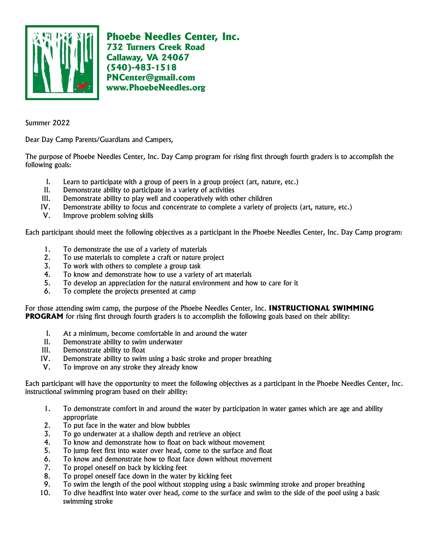

Phoebe Needles Center, Inc. 732 Turners Creek Road Callaway, VA 24067 (540)-483-1518 PNCenter@gmail.com www.PhoebeNeedles.org

Summer 2022

Dear Day Camp Parents/Guardians and Campers,

The purpose of Phoebe Needles Center, Inc. Day Camp program for rising first through fourth graders is to accomplish the following goals:

- I. Learn to participate with a group of peers in a group project (art, nature, etc.)
- II. Demonstrate ability to participate in a variety of activities
- III. Demonstrate ability to play well and cooperatively with other children
- IV. Demonstrate ability to focus and concentrate to complete a variety of projects (art, nature, etc.)
- V. Improve problem solving skills

Each participant should meet the following objectives as a participant in the Phoebe Needles Center, Inc. Day Camp program:

- 1. To demonstrate the use of a variety of materials
- 2. To use materials to complete a craft or nature project
- 3. To work with others to complete a group task
- 4. To know and demonstrate how to use a variety of art materials
- 5. To develop an appreciation for the natural environment and how to care for it
- 6. To complete the projects presented at camp

For those attending swim camp, the purpose of the Phoebe Needles Center, Inc. INSTRUCTIONAL SWIMMING **PROGRAM** for rising first through fourth graders is to accomplish the following goals based on their ability:

- I. At a minimum, become comfortable in and around the water
- II. Demonstrate ability to swim underwater
- III. Demonstrate ability to float
- IV. Demonstrate ability to swim using a basic stroke and proper breathing
- V. To improve on any stroke they already know

Each participant will have the opportunity to meet the following objectives as a participant in the Phoebe Needles Center, Inc. instructional swimming program based on their ability:

- 1. To demonstrate comfort in and around the water by participation in water games which are age and ability appropriate
- 2. To put face in the water and blow bubbles
- 3. To go underwater at a shallow depth and retrieve an object
- 4. To know and demonstrate how to float on back without movement
- 5. To jump feet first into water over head, come to the surface and float
- 6. To know and demonstrate how to float face down without movement
- 7. To propel oneself on back by kicking feet
- 8. To propel oneself face down in the water by kicking feet
- 9. To swim the length of the pool without stopping using a basic swimming stroke and proper breathing
- 10. To dive headfirst into water over head, come to the surface and swim to the side of the pool using a basic swimming stroke